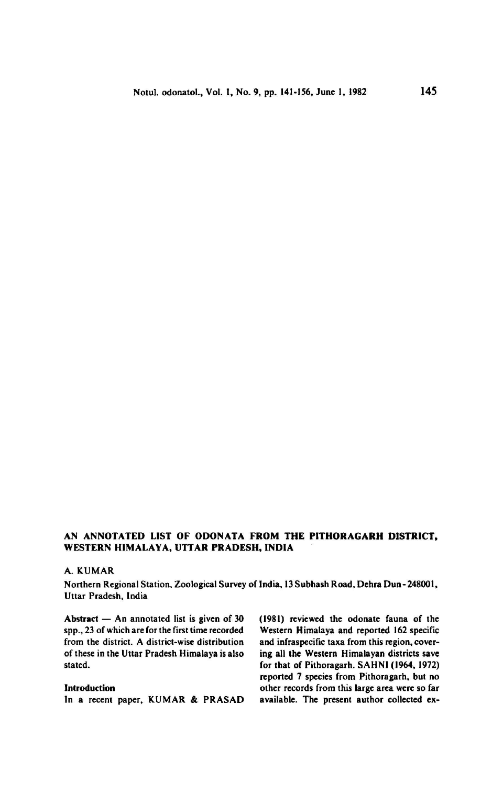## An annotated list of Odonata from the Pithoragarh District, WESTERN HIMALAYA, UTTAR PRADESH, INDIA

## A. Kumar

Northern Regional Station, Zoological Survey of India, 13 Subhash Road, Dehra Dun-248001, Uttar Pradesh, India

Abstract  $-$  An annotated list is given of  $30$ spp., <sup>23</sup> of which are forthe first time recorded from the district. A district-wise distribution of these in the Uttar Pradesh Himalaya is also stated.

## Introduction

In <sup>a</sup> recent paper, KUMAR & PRASAD

(1981) reviewed the odonate fauna of the Western Himalaya and reported 162 specific and infraspecific taxa from this region, covering all the Western Himalayan districts save for that of Pithoragarh. SAHNI (1964, 1972) reported <sup>7</sup> species from Pithoragarh, but no other records from this large areawere so far available. The present author collected ex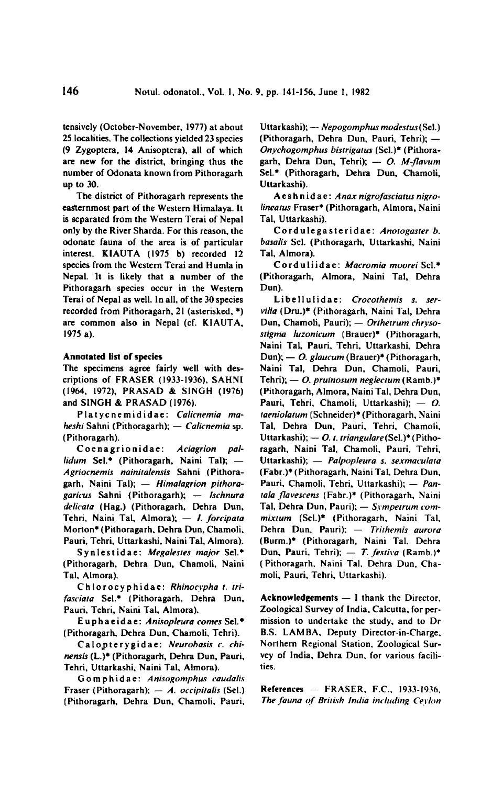tensively (October-November, 1977) at about 25 localities. The collections yielded 23 species (9 Zygoptera, <sup>14</sup> Anisoptera), all of which are new for the district, bringing thus the number of Odonata known from Pithoragarh up to 30.

The district of Pithoragarh represents the easternmost part of the Western Himalaya. It is separated from the Western Terai of Nepal only by the River Sharda. For this reason, the odOnate fauna of the area is of particular interest. K1AUTA (1975 b) recorded <sup>12</sup> species from the Western Terai and Humla in Nepal. It is likely that <sup>a</sup> number of the Pithoragarh species occur in the Western Terai of Nepal aswell. In all, of the <sup>30</sup> species recorded from Pithoragarh,  $21$  (asterisked,  $*)$ are common also in Nepal (cf. KIAUTA, 1975 a).

## Annotated list of species

The specimens agree fairly well with descriptions of FRASER (1933-1936), SAHNI (1964, 1972), PRASAD & SINGH (1976) and SINGH & PRASAD (1976).

Platycnemididae: Calicnemia maheshi Sahni (Pithoragarh); — Calicnemia sp. (Pithoragarh).

Coenagrionidae: Aciagrion pallidum Sel.\* (Pithoragarh, Naini Tal); — Agriocnemis nainitalensis Sahni (Pithoragarh, Naini Tal); — Himalagrion pithora garicus Sahni (Pithoragarh); — Ischnura delicata (Hag.) (Pithoragarh, Dehra Dun, Tehri, Naini Tal, Almora); - I. forcipata Morton\* (Pithoragarh, Dehra Dun, Chamoli, Pauri, Tehri, Uttarkashi, Naini Tal, Almora).

Synlestidae: Megalestes major Sel.\* (Pithoragarh, Dehra Dun, Chamoli. Naini Tal, Almora).

Chlorocyphidae; Rhinocypha t. trifasciata Sel.\* (Pithoragarh, Dehra Dun, Pauri, Tehri, Naini Tal, Almora).

Euphaeidae:Anisopleura comes Sel.\* (Pithoragarh, Dehra Dun, Chamoli, Tehri).

Calo,pterygidae: Neurobasis c. chinensis (L.)\* (Pithoragarh, Dehra Dun, Pauri, Tehri, Uttarkashi, Naini Tal, Almora).

Gomphidae: Anisogomphus caudalis Fraser (Pithoragarh);  $- A$ . occipitalis (Sel.) (Pithoragarh, Dehra Dun. Chamoli, Pauri, Uttarkashi); - Nepogomphus modestus (Sel.) (Pithoragarh, Dehra Dun, Pauri, Tehri); — Onychogomphus bistrigatus (Sel.)\* (Pithoragarh, Dehra Dun, Tehri); — O. M-flavum Sel.\* (Pithoragarh, Dehra Dun, Chamoli, Uttarkashi).

Aeshnidae: Anax nigrofasciatus nigrolineatus Fraser\* (Pithoragarh, Almora, Naini Tal, Uttarkashi).

Cordulegasteridae; Anotogaster b. basalis Sel. (Pithoragarh, Uttarkashi, Naini Tal, Almora).

Corduliidae: Macromia moorei Sel.• (Pithoragarh, Almora, Naini Tal, Dehra Dun),

Libellulidae: Crocothemis s. servilia (Dru.)\* (Pithoragarh, Naini Tal, Dehra Dun, Chamoli, Pauri); — Orthetrum chrysc stigma luzonicum (Brauer)\* (Pithoragarh, Naini Tal, Pauri, Tehri, Uttarkashi, Dehra Dun); — O. glaucum (Brauer)\* (Pithoragarh, Naini Tal, Dehra Dun, Chamoli, Pauri, Tehri); — O. pruinosum neglectum (Ramb.)\* (Pithoragarh, Almora, Naini Tal, Dehra Dun. Pauri, Tehri, Chamoli, Uttarkashi); — O. taeniolatum (Schneider)\*(Pithoragarh, Naini Tal, Dehra Dun, Pauri, Tehri, Chamoli, Uttarkashi);  $-$  O. t. triangulare(Sel.)\* (Pithoragarh, Naini Tal, Chamoli, Pauri, Tehri, Uttarkashi); — Palpopleura s. sexmaculata (Fabr.)\* (Pithoragarh, NainiTal, Dehra Dun, Pauri, Chamoli, Tehri, Uttarkashi); - Pantala flavescens (Fabr.)\* (Pithoragarh, Naini Tal, Dehra Dun, Pauri); - Sympetrum con mixtum (Sel.)\* (Pithoragarh. Naini Tal, Dehra Dun, Pauri); — Trithemis aurora (Burm.)\* (Pithoragarh, Naini Tal, Dehra Dun, Pauri, Tehri);  $- T$ . festiva (Ramb.)\* (Pithoragarh, Naini Tal, Dehra Dun, Chamoli, Pauri, Tehri, Uttarkashi).

Acknowledgements — <sup>I</sup> thank the Director. Zoological Survey of India, Calcutta, for permission to undertake the study, and to Dr B.S. LAM BA, Deputy Director-in-Charge, Northern Regional Station, Zoological Survey of India, Dehra Dun, for various facilities.

 $References$   $-$  FRASER, F.C., 1933-1936. The fauna of British India including Ceylon